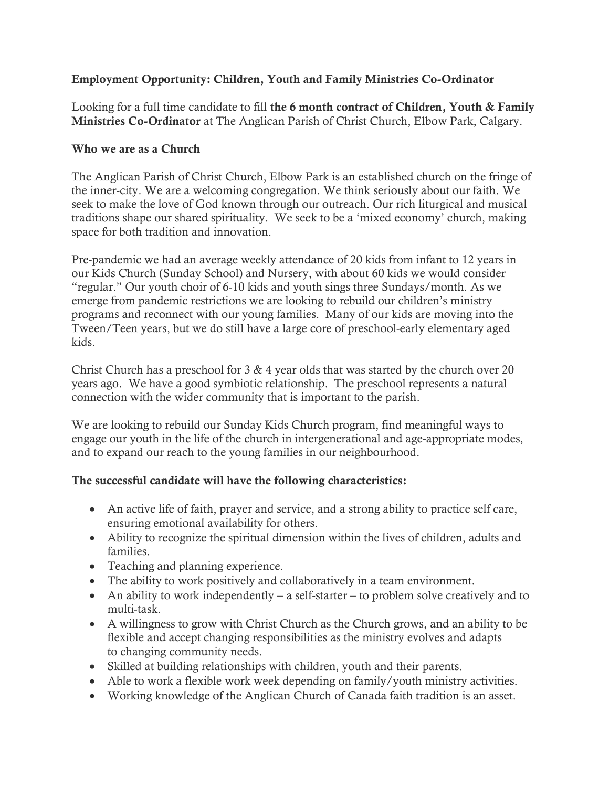# Employment Opportunity: Children, Youth and Family Ministries Co-Ordinator

Looking for a full time candidate to fill the 6 month contract of Children, Youth & Family Ministries Co-Ordinator at The Anglican Parish of Christ Church, Elbow Park, Calgary.

### Who we are as a Church

The Anglican Parish of Christ Church, Elbow Park is an established church on the fringe of the inner-city. We are a welcoming congregation. We think seriously about our faith. We seek to make the love of God known through our outreach. Our rich liturgical and musical traditions shape our shared spirituality. We seek to be a 'mixed economy' church, making space for both tradition and innovation.

Pre-pandemic we had an average weekly attendance of 20 kids from infant to 12 years in our Kids Church (Sunday School) and Nursery, with about 60 kids we would consider "regular." Our youth choir of 6-10 kids and youth sings three Sundays/month. As we emerge from pandemic restrictions we are looking to rebuild our children's ministry programs and reconnect with our young families. Many of our kids are moving into the Tween/Teen years, but we do still have a large core of preschool-early elementary aged kids.

Christ Church has a preschool for 3 & 4 year olds that was started by the church over 20 years ago. We have a good symbiotic relationship. The preschool represents a natural connection with the wider community that is important to the parish.

We are looking to rebuild our Sunday Kids Church program, find meaningful ways to engage our youth in the life of the church in intergenerational and age-appropriate modes, and to expand our reach to the young families in our neighbourhood.

# The successful candidate will have the following characteristics:

- An active life of faith, prayer and service, and a strong ability to practice self care, ensuring emotional availability for others.
- Ability to recognize the spiritual dimension within the lives of children, adults and families.
- Teaching and planning experience.
- The ability to work positively and collaboratively in a team environment.
- An ability to work independently a self-starter to problem solve creatively and to multi-task.
- A willingness to grow with Christ Church as the Church grows, and an ability to be flexible and accept changing responsibilities as the ministry evolves and adapts to changing community needs.
- Skilled at building relationships with children, youth and their parents.
- Able to work a flexible work week depending on family/youth ministry activities.
- Working knowledge of the Anglican Church of Canada faith tradition is an asset.